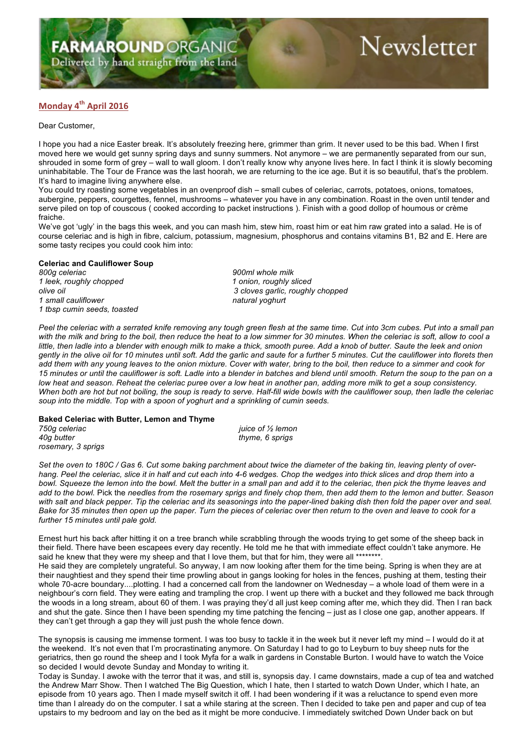Delivered by hand straight from the land

# Newsletter

### **Monday 4th April 2016**

Dear Customer,

I hope you had a nice Easter break. It's absolutely freezing here, grimmer than grim. It never used to be this bad. When I first moved here we would get sunny spring days and sunny summers. Not anymore – we are permanently separated from our sun, shrouded in some form of grey – wall to wall gloom. I don't really know why anyone lives here. In fact I think it is slowly becoming uninhabitable. The Tour de France was the last hoorah, we are returning to the ice age. But it is so beautiful, that's the problem. It's hard to imagine living anywhere else.

You could try roasting some vegetables in an ovenproof dish – small cubes of celeriac, carrots, potatoes, onions, tomatoes, aubergine, peppers, courgettes, fennel, mushrooms – whatever you have in any combination. Roast in the oven until tender and serve piled on top of couscous ( cooked according to packet instructions ). Finish with a good dollop of houmous or crème fraiche.

We've got 'ugly' in the bags this week, and you can mash him, stew him, roast him or eat him raw grated into a salad. He is of course celeriac and is high in fibre, calcium, potassium, magnesium, phosphorus and contains vitamins B1, B2 and E. Here are some tasty recipes you could cook him into:

## **Celeriac and Cauliflower Soup**

*1 leek, roughly chopped 1 onion, roughly sliced* 1 small cauliflower natural yoghurt natural yoghurt *1 tbsp cumin seeds, toasted*

*800g celeriac 900ml whole milk olive oil 3 cloves garlic, roughly chopped*

Peel the celeriac with a serrated knife removing any tough green flesh at the same time. Cut into 3cm cubes. Put into a small pan with the milk and bring to the boil, then reduce the heat to a low simmer for 30 minutes. When the celeriac is soft, allow to cool a *little, then ladle into a blender with enough milk to make a thick, smooth puree. Add a knob of butter. Saute the leek and onion gently in the olive oil for 10 minutes until soft. Add the garlic and saute for a further 5 minutes. Cut the cauliflower into florets then add them with any young leaves to the onion mixture. Cover with water, bring to the boil, then reduce to a simmer and cook for 15 minutes or until the cauliflower is soft. Ladle into a blender in batches and blend until smooth. Return the soup to the pan on a low heat and season. Reheat the celeriac puree over a low heat in another pan, adding more milk to get a soup consistency. When both are hot but not boiling, the soup is ready to serve. Half-fill wide bowls with the cauliflower soup, then ladle the celeriac soup into the middle. Top with a spoon of yoghurt and a sprinkling of cumin seeds.*

### **Baked Celeriac with Butter, Lemon and Thyme**

*750g celeriac juice of ½ lemon 40g butter thyme, 6 sprigs rosemary, 3 sprigs*

*Set the oven to 180C / Gas 6. Cut some baking parchment about twice the diameter of the baking tin, leaving plenty of overhang. Peel the celeriac, slice it in half and cut each into 4-6 wedges. Chop the wedges into thick slices and drop them into a*  bowl. Squeeze the lemon into the bowl. Melt the butter in a small pan and add it to the celeriac, then pick the thyme leaves and *add to the bowl.* Pick the *needles from the rosemary sprigs and finely chop them, then add them to the lemon and butter. Season with salt and black pepper. Tip the celeriac and its seasonings into the paper-lined baking dish then fold the paper over and seal. Bake for 35 minutes then open up the paper. Turn the pieces of celeriac over then return to the oven and leave to cook for a further 15 minutes until pale gold.*

Ernest hurt his back after hitting it on a tree branch while scrabbling through the woods trying to get some of the sheep back in their field. There have been escapees every day recently. He told me he that with immediate effect couldn't take anymore. He said he knew that they were my sheep and that I love them, but that for him, they were all \*\*\*

He said they are completely ungrateful. So anyway, I am now looking after them for the time being. Spring is when they are at their naughtiest and they spend their time prowling about in gangs looking for holes in the fences, pushing at them, testing their whole 70-acre boundary....plotting. I had a concerned call from the landowner on Wednesday – a whole load of them were in a neighbour's corn field. They were eating and trampling the crop. I went up there with a bucket and they followed me back through the woods in a long stream, about 60 of them. I was praying they'd all just keep coming after me, which they did. Then I ran back and shut the gate. Since then I have been spending my time patching the fencing – just as I close one gap, another appears. If they can't get through a gap they will just push the whole fence down.

The synopsis is causing me immense torment. I was too busy to tackle it in the week but it never left my mind – I would do it at the weekend. It's not even that I'm procrastinating anymore. On Saturday I had to go to Leyburn to buy sheep nuts for the geriatrics, then go round the sheep and I took Myfa for a walk in gardens in Constable Burton. I would have to watch the Voice so decided I would devote Sunday and Monday to writing it.

Today is Sunday. I awoke with the terror that it was, and still is, synopsis day. I came downstairs, made a cup of tea and watched the Andrew Marr Show. Then I watched The Big Question, which I hate, then I started to watch Down Under, which I hate, an episode from 10 years ago. Then I made myself switch it off. I had been wondering if it was a reluctance to spend even more time than I already do on the computer. I sat a while staring at the screen. Then I decided to take pen and paper and cup of tea upstairs to my bedroom and lay on the bed as it might be more conducive. I immediately switched Down Under back on but